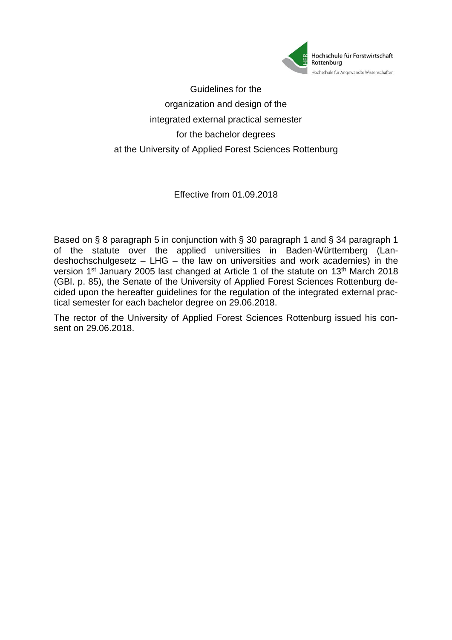

Guidelines for the organization and design of the integrated external practical semester for the bachelor degrees at the University of Applied Forest Sciences Rottenburg

Effective from 01.09.2018

Based on § 8 paragraph 5 in conjunction with § 30 paragraph 1 and § 34 paragraph 1 of the statute over the applied universities in Baden-Württemberg (Landeshochschulgesetz – LHG – the law on universities and work academies) in the version 1<sup>st</sup> January 2005 last changed at Article 1 of the statute on 13<sup>th</sup> March 2018 (GBl. p. 85), the Senate of the University of Applied Forest Sciences Rottenburg decided upon the hereafter guidelines for the regulation of the integrated external practical semester for each bachelor degree on 29.06.2018.

The rector of the University of Applied Forest Sciences Rottenburg issued his consent on 29.06.2018.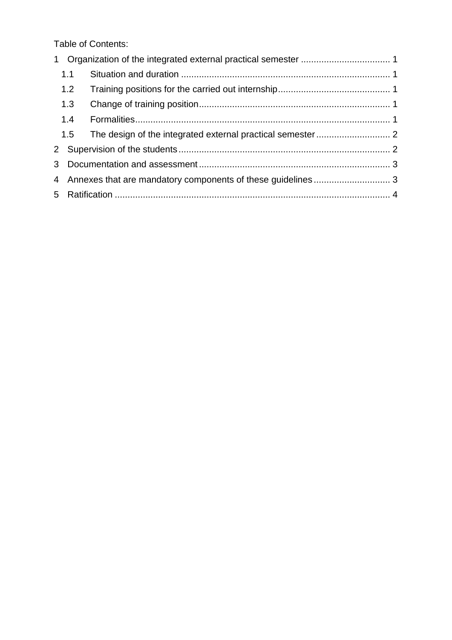Table of Contents:

|              | 1.1 |  |  |
|--------------|-----|--|--|
|              | 1.2 |  |  |
|              | 1.3 |  |  |
|              | 1.4 |  |  |
|              | 1.5 |  |  |
| $\mathbf{2}$ |     |  |  |
|              |     |  |  |
|              |     |  |  |
|              |     |  |  |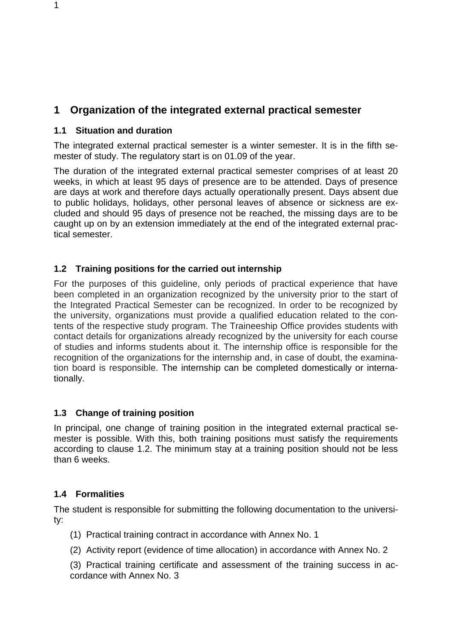# <span id="page-2-0"></span>**1 Organization of the integrated external practical semester**

#### <span id="page-2-1"></span>**1.1 Situation and duration**

The integrated external practical semester is a winter semester. It is in the fifth semester of study. The regulatory start is on 01.09 of the year.

The duration of the integrated external practical semester comprises of at least 20 weeks, in which at least 95 days of presence are to be attended. Days of presence are days at work and therefore days actually operationally present. Days absent due to public holidays, holidays, other personal leaves of absence or sickness are excluded and should 95 days of presence not be reached, the missing days are to be caught up on by an extension immediately at the end of the integrated external practical semester.

#### <span id="page-2-2"></span>**1.2 Training positions for the carried out internship**

For the purposes of this guideline, only periods of practical experience that have been completed in an organization recognized by the university prior to the start of the Integrated Practical Semester can be recognized. In order to be recognized by the university, organizations must provide a qualified education related to the contents of the respective study program. The Traineeship Office provides students with contact details for organizations already recognized by the university for each course of studies and informs students about it. The internship office is responsible for the recognition of the organizations for the internship and, in case of doubt, the examination board is responsible. The internship can be completed domestically or internationally.

#### <span id="page-2-3"></span>**1.3 Change of training position**

In principal, one change of training position in the integrated external practical semester is possible. With this, both training positions must satisfy the requirements according to clause 1.2. The minimum stay at a training position should not be less than 6 weeks.

#### <span id="page-2-4"></span>**1.4 Formalities**

The student is responsible for submitting the following documentation to the university:

- (1) Practical training contract in accordance with Annex No. 1
- (2) Activity report (evidence of time allocation) in accordance with Annex No. 2
- (3) Practical training certificate and assessment of the training success in accordance with Annex No. 3

1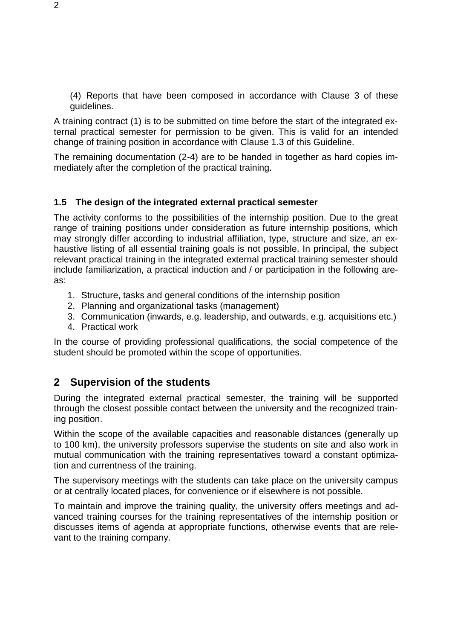(4) Reports that have been composed in accordance with Clause 3 of these guidelines.

A training contract (1) is to be submitted on time before the start of the integrated external practical semester for permission to be given. This is valid for an intended change of training position in accordance with Clause 1.3 of this Guideline.

The remaining documentation (2-4) are to be handed in together as hard copies immediately after the completion of the practical training.

#### <span id="page-3-0"></span>**1.5 The design of the integrated external practical semester**

The activity conforms to the possibilities of the internship position. Due to the great range of training positions under consideration as future internship positions, which may strongly differ according to industrial affiliation, type, structure and size, an exhaustive listing of all essential training goals is not possible. In principal, the subject relevant practical training in the integrated external practical training semester should include familiarization, a practical induction and / or participation in the following areas:

- 1. Structure, tasks and general conditions of the internship position
- 2. Planning and organizational tasks (management)
- 3. Communication (inwards, e.g. leadership, and outwards, e.g. acquisitions etc.)
- 4. Practical work

In the course of providing professional qualifications, the social competence of the student should be promoted within the scope of opportunities.

## <span id="page-3-1"></span>**2 Supervision of the students**

During the integrated external practical semester, the training will be supported through the closest possible contact between the university and the recognized training position.

Within the scope of the available capacities and reasonable distances (generally up to 100 km), the university professors supervise the students on site and also work in mutual communication with the training representatives toward a constant optimization and currentness of the training.

The supervisory meetings with the students can take place on the university campus or at centrally located places, for convenience or if elsewhere is not possible.

To maintain and improve the training quality, the university offers meetings and advanced training courses for the training representatives of the internship position or discusses items of agenda at appropriate functions, otherwise events that are relevant to the training company.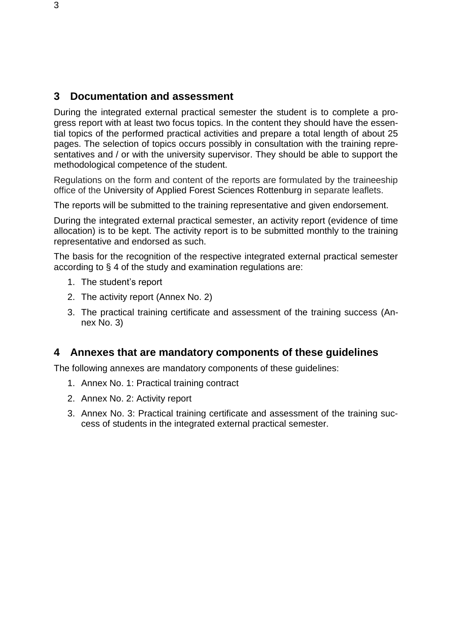### <span id="page-4-0"></span>**3 Documentation and assessment**

During the integrated external practical semester the student is to complete a progress report with at least two focus topics. In the content they should have the essential topics of the performed practical activities and prepare a total length of about 25 pages. The selection of topics occurs possibly in consultation with the training representatives and / or with the university supervisor. They should be able to support the methodological competence of the student.

Regulations on the form and content of the reports are formulated by the traineeship office of the University of Applied Forest Sciences Rottenburg in separate leaflets.

The reports will be submitted to the training representative and given endorsement.

During the integrated external practical semester, an activity report (evidence of time allocation) is to be kept. The activity report is to be submitted monthly to the training representative and endorsed as such.

The basis for the recognition of the respective integrated external practical semester according to § 4 of the study and examination regulations are:

- 1. The student's report
- 2. The activity report (Annex No. 2)
- 3. The practical training certificate and assessment of the training success (Annex No. 3)

### <span id="page-4-1"></span>**4 Annexes that are mandatory components of these guidelines**

The following annexes are mandatory components of these guidelines:

- 1. Annex No. 1: Practical training contract
- 2. Annex No. 2: Activity report
- 3. Annex No. 3: Practical training certificate and assessment of the training success of students in the integrated external practical semester.